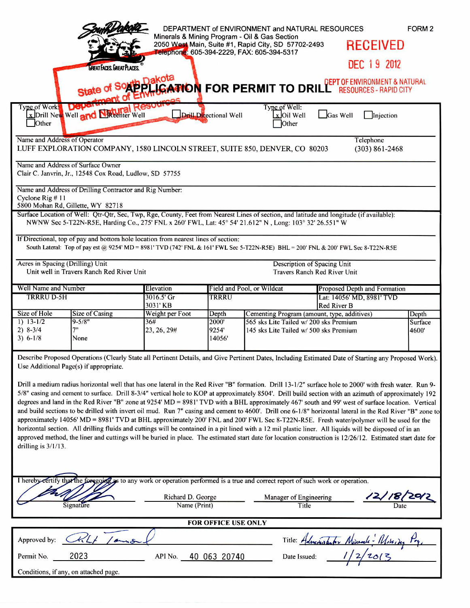|                                                                                                                                                                                                                                                                                                                                                                                                                                                                                                                                                                                                                                                                                                                                                                                                                                                                                                                                                                                                                                                                                                                                                                            |                                          |                       |                                                                                                                                                    | DEPARTMENT of ENVIRONMENT and NATURAL RESOURCES                                           |                              | FORM <sub>2</sub> |
|----------------------------------------------------------------------------------------------------------------------------------------------------------------------------------------------------------------------------------------------------------------------------------------------------------------------------------------------------------------------------------------------------------------------------------------------------------------------------------------------------------------------------------------------------------------------------------------------------------------------------------------------------------------------------------------------------------------------------------------------------------------------------------------------------------------------------------------------------------------------------------------------------------------------------------------------------------------------------------------------------------------------------------------------------------------------------------------------------------------------------------------------------------------------------|------------------------------------------|-----------------------|----------------------------------------------------------------------------------------------------------------------------------------------------|-------------------------------------------------------------------------------------------|------------------------------|-------------------|
|                                                                                                                                                                                                                                                                                                                                                                                                                                                                                                                                                                                                                                                                                                                                                                                                                                                                                                                                                                                                                                                                                                                                                                            |                                          |                       | Minerals & Mining Program - Oil & Gas Section<br>2050 West Main, Suite #1, Rapid City, SD 57702-2493<br>Telephone: 605-394-2229, FAX: 605-394-5317 |                                                                                           | <b>RECEIVED</b>              |                   |
|                                                                                                                                                                                                                                                                                                                                                                                                                                                                                                                                                                                                                                                                                                                                                                                                                                                                                                                                                                                                                                                                                                                                                                            | <b><i>GREAT FACES. GREAT PLACES.</i></b> |                       |                                                                                                                                                    |                                                                                           | DEC 19 2012                  |                   |
| Dakota<br>State of SOAPPLIGATION FOR PERMIT TO DRILL RESOURCES-RAPID CITY                                                                                                                                                                                                                                                                                                                                                                                                                                                                                                                                                                                                                                                                                                                                                                                                                                                                                                                                                                                                                                                                                                  |                                          |                       |                                                                                                                                                    |                                                                                           |                              |                   |
|                                                                                                                                                                                                                                                                                                                                                                                                                                                                                                                                                                                                                                                                                                                                                                                                                                                                                                                                                                                                                                                                                                                                                                            |                                          |                       |                                                                                                                                                    |                                                                                           |                              |                   |
| Type of Work<br>Debe<br>Type of Well:<br><b>Ix Drill New Well and Natural Reso</b><br>Other<br>Drill Directional Well<br>x Oil Well<br>$\Box$ Gas Well<br>Injection<br>Other<br>Other                                                                                                                                                                                                                                                                                                                                                                                                                                                                                                                                                                                                                                                                                                                                                                                                                                                                                                                                                                                      |                                          |                       |                                                                                                                                                    |                                                                                           |                              |                   |
| Name and Address of Operator<br>Telephone<br>LUFF EXPLORATION COMPANY, 1580 LINCOLN STREET, SUITE 850, DENVER, CO 80203<br>$(303) 861 - 2468$                                                                                                                                                                                                                                                                                                                                                                                                                                                                                                                                                                                                                                                                                                                                                                                                                                                                                                                                                                                                                              |                                          |                       |                                                                                                                                                    |                                                                                           |                              |                   |
| Name and Address of Surface Owner<br>Clair C. Janvrin, Jr., 12548 Cox Road, Ludlow, SD 57755                                                                                                                                                                                                                                                                                                                                                                                                                                                                                                                                                                                                                                                                                                                                                                                                                                                                                                                                                                                                                                                                               |                                          |                       |                                                                                                                                                    |                                                                                           |                              |                   |
| Name and Address of Drilling Contractor and Rig Number:<br>Cyclone Rig #11<br>5800 Mohan Rd, Gillette, WY 82718                                                                                                                                                                                                                                                                                                                                                                                                                                                                                                                                                                                                                                                                                                                                                                                                                                                                                                                                                                                                                                                            |                                          |                       |                                                                                                                                                    |                                                                                           |                              |                   |
| Surface Location of Well: Qtr-Qtr, Sec, Twp, Rge, County, Feet from Nearest Lines of section, and latitude and longitude (if available):<br>NWNW Sec 5-T22N-R5E, Harding Co., 275' FNL x 260' FWL, Lat: 45° 54' 21.612" N, Long: 103° 32' 26.551" W                                                                                                                                                                                                                                                                                                                                                                                                                                                                                                                                                                                                                                                                                                                                                                                                                                                                                                                        |                                          |                       |                                                                                                                                                    |                                                                                           |                              |                   |
| If Directional, top of pay and bottom hole location from nearest lines of section:<br>South Lateral: Top of pay est @ 9254' MD = 8981' TVD (742' FNL & 161' FWL Sec 5-T22N-R5E) BHL = 200' FNL & 200' FWL Sec 8-T22N-R5E                                                                                                                                                                                                                                                                                                                                                                                                                                                                                                                                                                                                                                                                                                                                                                                                                                                                                                                                                   |                                          |                       |                                                                                                                                                    |                                                                                           |                              |                   |
| Acres in Spacing (Drilling) Unit<br>Description of Spacing Unit<br>Unit well in Travers Ranch Red River Unit<br>Travers Ranch Red River Unit                                                                                                                                                                                                                                                                                                                                                                                                                                                                                                                                                                                                                                                                                                                                                                                                                                                                                                                                                                                                                               |                                          |                       |                                                                                                                                                    |                                                                                           |                              |                   |
| Well Name and Number<br>Elevation                                                                                                                                                                                                                                                                                                                                                                                                                                                                                                                                                                                                                                                                                                                                                                                                                                                                                                                                                                                                                                                                                                                                          |                                          |                       |                                                                                                                                                    | Field and Pool, or Wildcat                                                                | Proposed Depth and Formation |                   |
| <b>TRRRU D-5H</b>                                                                                                                                                                                                                                                                                                                                                                                                                                                                                                                                                                                                                                                                                                                                                                                                                                                                                                                                                                                                                                                                                                                                                          |                                          | 3016.5' Gr<br>3031'KB | <b>TRRRU</b>                                                                                                                                       | Lat: 14056' MD, 8981' TVD<br><b>Red River B</b>                                           |                              |                   |
| Size of Hole                                                                                                                                                                                                                                                                                                                                                                                                                                                                                                                                                                                                                                                                                                                                                                                                                                                                                                                                                                                                                                                                                                                                                               | Size of Casing                           | Weight per Foot       | Depth                                                                                                                                              | Cementing Program (amount, type, additives)                                               |                              | Depth             |
| $1) 13-1/2$<br>$2) 8-3/4$<br>$3) 6-1/8$                                                                                                                                                                                                                                                                                                                                                                                                                                                                                                                                                                                                                                                                                                                                                                                                                                                                                                                                                                                                                                                                                                                                    | $9 - 5/8"$<br>7"<br>None                 | 36#<br>23, 26, 29#    | 2000'<br>9254'<br>14056'                                                                                                                           | 565 sks Lite Tailed w/ 200 sks Premium<br>145 sks Lite Tailed w/ 500 sks Premium<br>4600' |                              | Surface           |
| Describe Proposed Operations (Clearly State all Pertinent Details, and Give Pertinent Dates, Including Estimated Date of Starting any Proposed Work).                                                                                                                                                                                                                                                                                                                                                                                                                                                                                                                                                                                                                                                                                                                                                                                                                                                                                                                                                                                                                      |                                          |                       |                                                                                                                                                    |                                                                                           |                              |                   |
| Use Additional Page(s) if appropriate.<br>Drill a medium radius horizontal well that has one lateral in the Red River "B" formation. Drill 13-1/2" surface hole to 2000' with fresh water. Run 9-<br>5/8" casing and cement to surface. Drill 8-3/4" vertical hole to KOP at approximately 8504'. Drill build section with an azimuth of approximately 192<br>degrees and land in the Red River "B" zone at 9254' MD = 8981' TVD with a BHL approximately 467' south and 99' west of surface location. Vertical<br>and build sections to be drilled with invert oil mud. Run 7" casing and cement to 4600'. Drill one 6-1/8" horizontal lateral in the Red River "B" zone to<br>approximately 14056' MD = 8981' TVD at BHL approximately 200' FNL and 200' FWL Sec 8-T22N-R5E. Fresh water/polymer will be used for the<br>horizontal section. All drilling fluids and cuttings will be contained in a pit lined with a 12 mil plastic liner. All liquids will be disposed of in an<br>approved method, the liner and cuttings will be buried in place. The estimated start date for location construction is 12/26/12. Estimated start date for<br>drilling is $3/1/13$ . |                                          |                       |                                                                                                                                                    |                                                                                           |                              |                   |
| that the foregoing as to any work or operation performed is a true and correct report of such work or operation.<br>I hereby certify                                                                                                                                                                                                                                                                                                                                                                                                                                                                                                                                                                                                                                                                                                                                                                                                                                                                                                                                                                                                                                       |                                          |                       |                                                                                                                                                    |                                                                                           |                              |                   |
| Richard D. George<br>Manager of Engineering<br>Signature<br>Name (Print)<br>Title                                                                                                                                                                                                                                                                                                                                                                                                                                                                                                                                                                                                                                                                                                                                                                                                                                                                                                                                                                                                                                                                                          |                                          |                       |                                                                                                                                                    |                                                                                           |                              |                   |
| FOR OFFICE USE ONLY                                                                                                                                                                                                                                                                                                                                                                                                                                                                                                                                                                                                                                                                                                                                                                                                                                                                                                                                                                                                                                                                                                                                                        |                                          |                       |                                                                                                                                                    |                                                                                           |                              |                   |
| Approved by:                                                                                                                                                                                                                                                                                                                                                                                                                                                                                                                                                                                                                                                                                                                                                                                                                                                                                                                                                                                                                                                                                                                                                               |                                          |                       |                                                                                                                                                    | Title: Harrenshaby                                                                        | Niveale - Mixing             |                   |
| 2023<br>Permit No.<br>API No.<br>40 063 20740<br>Date Issued:                                                                                                                                                                                                                                                                                                                                                                                                                                                                                                                                                                                                                                                                                                                                                                                                                                                                                                                                                                                                                                                                                                              |                                          |                       |                                                                                                                                                    |                                                                                           |                              |                   |
| Conditions, if any, on attached page.                                                                                                                                                                                                                                                                                                                                                                                                                                                                                                                                                                                                                                                                                                                                                                                                                                                                                                                                                                                                                                                                                                                                      |                                          |                       |                                                                                                                                                    |                                                                                           |                              |                   |